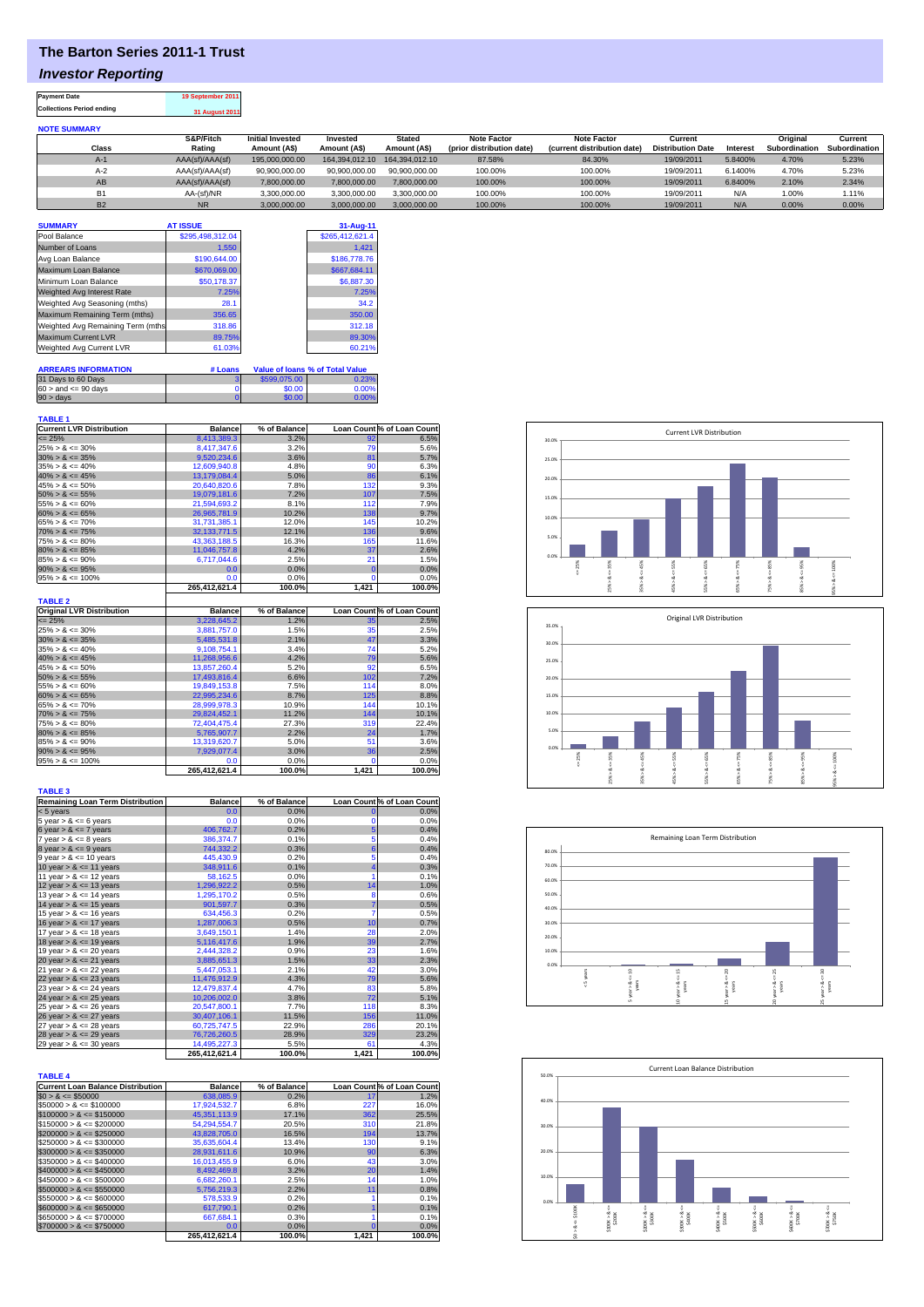## **The Barton Series 2011-1 Trust**

## *Investor Reporting*

**Payment Date 19 September 2011 Collections Period ending 31 August 2011**

| <b>NOTE SUMMARY</b> |                 |                         |                |                |                           |                             |                          |          |                      |               |
|---------------------|-----------------|-------------------------|----------------|----------------|---------------------------|-----------------------------|--------------------------|----------|----------------------|---------------|
|                     | S&P/Fitch       | <b>Initial Invested</b> | Invested       | <b>Stated</b>  | <b>Note Factor</b>        | <b>Note Factor</b>          | Current                  |          | Original             | Current       |
| <b>Class</b>        | Rating          | Amount (A\$)            | Amount (A\$)   | Amount (A\$)   | (prior distribution date) | (current distribution date) | <b>Distribution Date</b> | Interest | <b>Subordination</b> | Subordination |
| $A-1$               | AAA(sf)/AAA(sf) | 195,000,000,00          | 164.394.012.10 | 164.394.012.10 | 87.58%                    | 84.30%                      | 19/09/2011               | 5.8400%  | 4.70%                | 5.23%         |
| $A-2$               | AAA(sf)/AAA(sf) | 90.900.000.00           | 90.900.000.00  | 90.900.000.00  | 100.00%                   | 100.00%                     | 19/09/2011               | 6.1400%  | 4.70%                | 5.23%         |
| AB                  | AAA(sf)/AAA(sf) | 7,800,000.00            | 7,800,000.00   | 7.800.000.00   | 100.00%                   | 100.00%                     | 19/09/2011               | 6.8400%  | 2.10%                | 2.34%         |
| <b>B1</b>           | AA-(sf)/NR      | 3.300.000.00            | 3.300.000.00   | 3.300.000.00   | 100.00%                   | 100.00%                     | 19/09/2011               | N/A      | 1.00%                | 1.11%         |
| <b>B2</b>           | <b>NR</b>       | 3.000.000.00            | 3,000,000.00   | 3.000.000.00   | 100.00%                   | 100.00%                     | 19/09/2011               | N/A      | 0.00%                | 0.00%         |

| <b>SUMMARY</b>                    | <b>AT ISSUE</b>  |              | 31-Aug-11                              |
|-----------------------------------|------------------|--------------|----------------------------------------|
| Pool Balance                      | \$295.498.312.04 |              | \$265,412,621.4                        |
| Number of Loans                   | 1.550            |              | 1.421                                  |
| Avg Loan Balance                  | \$190,644.00     |              | \$186,778.76                           |
| Maximum Loan Balance              | \$670,069.00     |              | \$667,684.11                           |
| Minimum Loan Balance              | \$50.178.37      |              | \$6,887.30                             |
| Weighted Avg Interest Rate        | 7.25%            |              | 7.25%                                  |
| Weighted Avg Seasoning (mths)     | 28.1             |              | 34.2                                   |
| Maximum Remaining Term (mths)     | 356.65           |              | 350.00                                 |
| Weighted Avg Remaining Term (mths | 318.86           |              | 312.18                                 |
| Maximum Current LVR               | 89.75%           |              | 89.30%                                 |
| Weighted Avg Current LVR          | 61.03%           |              | 60.21%                                 |
|                                   |                  |              |                                        |
| <b>ARREARS INFORMATION</b>        | # Loans          |              | <b>Value of loans % of Total Value</b> |
| 31 Days to 60 Days                | 3                | \$599,075,00 | 0.23%                                  |
| $60 >$ and $\leq 90$ days         |                  | \$0.00       | 0.00%                                  |
| $90 >$ days                       | $\mathbf{0}$     | \$0.00       | 0.00%                                  |

| <b>TABLE 1</b>                  |                  |              |     |                            |
|---------------------------------|------------------|--------------|-----|----------------------------|
| <b>Current LVR Distribution</b> | <b>Balance</b>   | % of Balance |     | Loan Count % of Loan Count |
| $\leq$ 25%                      | 8.413.389.3      | 3.2%         | 92  | 6.5%                       |
| $25\% > 8 \le 30\%$             | 8,417,347.6      | 3.2%         | 79  | 5.6%                       |
| $30\% > 8 \le 35\%$             | 9.520.234.6      | 3.6%         | 81  | 5.7%                       |
| $35\% > 8 \le 40\%$             | 12.609.940.8     | 4.8%         | 90  | 6.3%                       |
| $40\% > 8 \le 45\%$             | 13.179.084.4     | 5.0%         | 86  | 6.1%                       |
| $45\% > 8 \le 50\%$             | 20.640.820.6     | 7.8%         | 132 | 9.3%                       |
| $50\% > 8 \le 55\%$             | 19.079.181.6     | 7.2%         | 107 | 7.5%                       |
| $55\% > 8 \le 60\%$             | 21.594.693.2     | 8.1%         | 112 | 7.9%                       |
| $60\% > 8 \le 65\%$             | 26.965.781.9     | 10.2%        | 138 | 9.7%                       |
| $65\% > 8 \le 70\%$             | 31.731.385.1     | 12.0%        | 145 | 10.2%                      |
| $70\% > 8 \le 75\%$             | 32.133.771.5     | 12.1%        | 136 | 9.6%                       |
| $75\% > 8 \le 80\%$             | 43.363.188.5     | 16.3%        | 165 | 11.6%                      |
| $80\% > 8 \le 85\%$             | 11.046.757.8     | 4.2%         | 37  | 2.6%                       |
| $85\% > 8 \le 90\%$             | 6.717.044.6      | 2.5%         | 21  | 1.5%                       |
| $90\% > 8 \le 95\%$             | 0.0 <sub>1</sub> | 0.0%         |     | 0.0%                       |
| $95\% > 8 \le 100\%$            | 0.0              | 0.0%         |     | 0.0%                       |
|                                 |                  |              |     |                            |

|                                  | 265.412.621.4  | 100.0%       | 1,421 | 100.0%                    |
|----------------------------------|----------------|--------------|-------|---------------------------|
| <b>TABLE 2</b>                   |                |              |       |                           |
| <b>Original LVR Distribution</b> | <b>Balance</b> | % of Balance |       | Loan Count% of Loan Count |
| $\leq$ 25%                       | 3,228,645.2    | 1.2%         | 35    | 2.5%                      |
| $25\% > 8 \le 30\%$              | 3.881.757.0    | 1.5%         | 35    | 2.5%                      |
| $30\% > 8 \le 35\%$              | 5.485.531.8    | 2.1%         | 47    | 3.3%                      |
| $35\% > 8 \le 40\%$              | 9,108,754.1    | 3.4%         | 74    | 5.2%                      |
| $40\% > 8 \le 45\%$              | 11,268,956.6   | 4.2%         | 79    | 5.6%                      |
| $45\% > 8 \le 50\%$              | 13.857.260.4   | 5.2%         | 92    | 6.5%                      |
| $50\% > 8 \le 55\%$              | 17.493.816.4   | 6.6%         | 102   | 7.2%                      |
| $55\% > 8 \le 60\%$              | 19.849.153.8   | 7.5%         | 114   | 8.0%                      |
| $60\% > 8 \le 65\%$              | 22,995,234.6   | 8.7%         | 125   | 8.8%                      |
| $65\% > 8 \le 70\%$              | 28,999,978.3   | 10.9%        | 144   | 10.1%                     |
| $70\% > 8 \le 75\%$              | 29,824,452.1   | 11.2%        | 144   | 10.1%                     |
| $75\% > 8 \le 80\%$              | 72.404.475.4   | 27.3%        | 319   | 22.4%                     |
| $80\% > 8 \le 85\%$              | 5.765.907.7    | 2.2%         | 24    | 1.7%                      |
| $85\% > 8 \le 90\%$              | 13,319,620.7   | 5.0%         | 51    | 3.6%                      |
| $90\% > 8 \le 95\%$              | 7.929.077.4    | 3.0%         | 36    | 2.5%                      |
| $95\% > 8 \le 100\%$             | 0.0            | 0.0%         |       | 0.0%                      |
|                                  | 265.412.621.4  | 100.0%       | 1.421 | 100.0%                    |

| <b>TABLE 3</b>                          |                |              |                |                            |
|-----------------------------------------|----------------|--------------|----------------|----------------------------|
| <b>Remaining Loan Term Distribution</b> | <b>Balance</b> | % of Balance |                | Loan Count % of Loan Count |
| $< 5$ years                             | 0.0            | 0.0%         |                | 0.0%                       |
| 5 year $> 8 \le 6$ years                | 0.0            | 0.0%         | O              | 0.0%                       |
| 6 year $> 8 \le 7$ years                | 406,762.7      | 0.2%         | 5              | 0.4%                       |
| 7 year $> 8 \le 8$ years                | 386.374.7      | 0.1%         | 5              | 0.4%                       |
| $8$ year $> 8 \le 9$ years              | 744,332.2      | 0.3%         | 6              | 0.4%                       |
| $9$ year $> 8 \le 10$ years             | 445,430.9      | 0.2%         | 5              | 0.4%                       |
| 10 year $> 8 \le 11$ years              | 348,911.6      | 0.1%         |                | 0.3%                       |
| 11 year $> 8 \le 12$ years              | 58,162.5       | 0.0%         |                | 0.1%                       |
| 12 year $> 8 \le 13$ years              | 1,296,922.2    | 0.5%         | 14             | 1.0%                       |
| 13 year $> 8 \le 14$ years              | 1.295.170.2    | 0.5%         | 8              | 0.6%                       |
| 14 year $> 8 \le 15$ years              | 901,597.7      | 0.3%         | $\overline{7}$ | 0.5%                       |
| 15 year $> 8 \le 16$ years              | 634,456.3      | 0.2%         |                | 0.5%                       |
| 16 year $> 8 \le 17$ years              | 1,287,006.3    | 0.5%         | 10             | 0.7%                       |
| 17 year $> 8 \le 18$ years              | 3.649.150.1    | 1.4%         | 28             | 2.0%                       |
| 18 year $> 8 \le 19$ years              | 5,116,417.6    | 1.9%         | 39             | 2.7%                       |
| 19 year $> 8 \le 20$ years              | 2,444,328.2    | 0.9%         | 23             | 1.6%                       |
| 20 year $> 8 \le 21$ years              | 3,885,651.3    | 1.5%         | 33             | 2.3%                       |
| 21 year $> 8 \le 22$ years              | 5.447.053.1    | 2.1%         | 42             | 3.0%                       |
| 22 year $> 8 \le 23$ years              | 11,476,912.9   | 4.3%         | 79             | 5.6%                       |
| 23 year $> 8 \le 24$ years              | 12,479,837.4   | 4.7%         | 83             | 5.8%                       |
| 24 year $> 8 \le 25$ years              | 10,206,002.0   | 3.8%         | 72             | 5.1%                       |
| 25 year $> 8 \le 26$ years              | 20,547,800.1   | 7.7%         | 118            | 8.3%                       |
| 26 year $> 8 \le 27$ years              | 30,407,106.1   | 11.5%        | 156            | 11.0%                      |
| 27 year $> 8 \le 28$ years              | 60,725,747.5   | 22.9%        | 286            | 20.1%                      |
| 28 year $> 8 \le 29$ years              | 76,726,260.5   | 28.9%        | 329            | 23.2%                      |
| 29 year $> 8 \le 30$ years              | 14,495,227.3   | 5.5%         | 61             | 4.3%                       |
|                                         | 265.412.621.4  | 100.0%       | 1,421          | 100.0%                     |

| <b>Balance</b> | % of Balance |       | Loan Count% of Loan Count |
|----------------|--------------|-------|---------------------------|
| 638.085.9      |              | 17    | 1.2%                      |
| 17.924.532.7   | 6.8%         | 227   | 16.0%                     |
| 45.351.113.9   | 17.1%        | 362   | 25.5%                     |
| 54.294.554.7   | 20.5%        | 310   | 21.8%                     |
| 43.828.705.0   | 16.5%        | 194   | 13.7%                     |
| 35.635.604.4   | 13.4%        | 130   | 9.1%                      |
| 28.931.611.6   | 10.9%        | 90    | 6.3%                      |
| 16.013.455.9   | 6.0%         | 43    | 3.0%                      |
| 8,492,469.8    | 3.2%         | 20    | 1.4%                      |
| 6.682.260.1    | 2.5%         | 14    | 1.0%                      |
| 5.756.219.3    | 2.2%         | 11    | 0.8%                      |
| 578,533.9      | 0.2%         |       | 0.1%                      |
| 617.790.1      | 0.2%         |       | 0.1%                      |
| 667.684.1      | 0.3%         |       | 0.1%                      |
| 0.0            |              |       | 0.0%                      |
| 265.412.621.4  |              | 1.421 | 100.0%                    |
|                |              |       | 0.2%<br>0.0%<br>100.0%    |